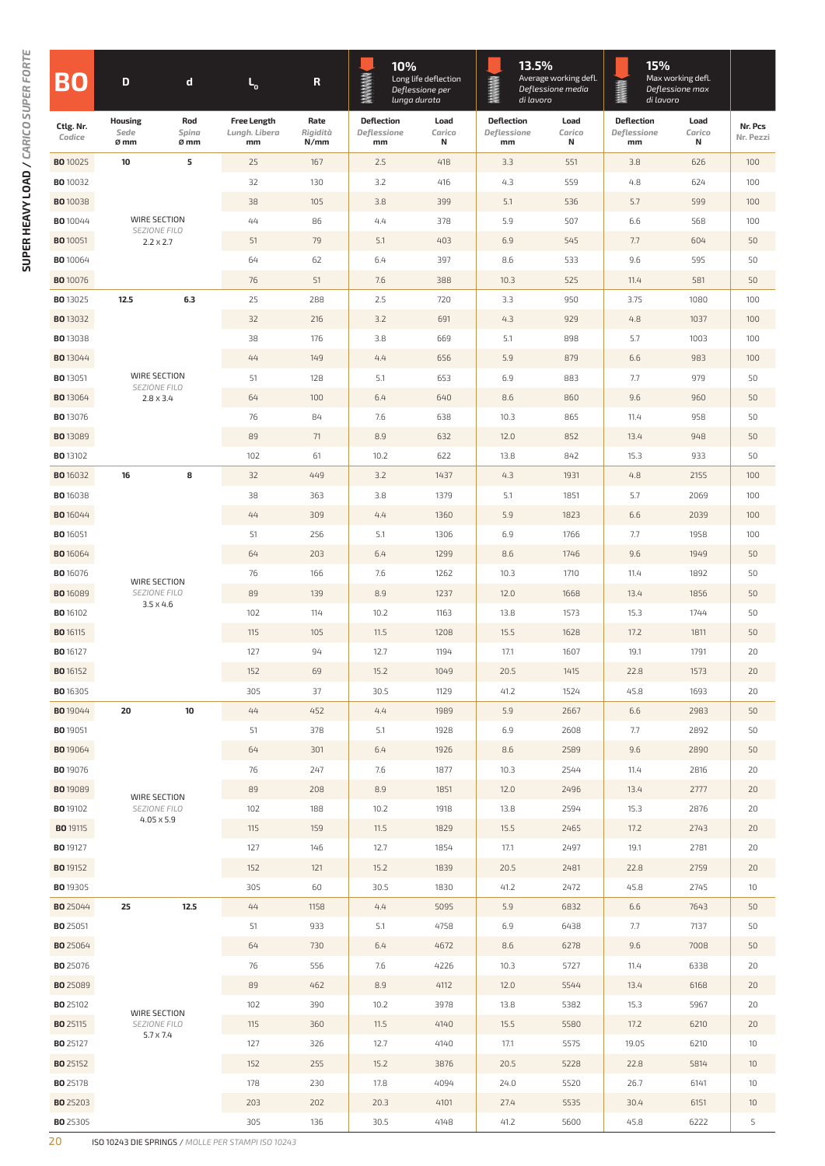|                                    |                                                   |                                                  |                                           |                          | 10%<br>Long life deflection            |                     | 13.5%<br>Average working defl.         |                     | 15%<br>Max working defl.                     |                     |                      |
|------------------------------------|---------------------------------------------------|--------------------------------------------------|-------------------------------------------|--------------------------|----------------------------------------|---------------------|----------------------------------------|---------------------|----------------------------------------------|---------------------|----------------------|
| BC                                 | D                                                 | d                                                | $L_{o}$                                   | $\mathbf R$              | <b>MANAMAN</b><br>lunga durata         | Deflessione per     | MMMMM<br>di lavoro                     | Deflessione media   | <b>MANAH</b><br>Deflessione max<br>di lavoro |                     |                      |
| Ctlg. Nr.<br>Codice                | <b>Housing</b><br>Sede<br>Ø mm                    | Rod<br>Spina<br>Ø mm                             | <b>Free Length</b><br>Lungh. Libera<br>mm | Rate<br>Rigidità<br>N/mm | <b>Deflection</b><br>Deflessione<br>mm | Load<br>Carico<br>N | <b>Deflection</b><br>Deflessione<br>mm | Load<br>Carico<br>N | <b>Deflection</b><br>Deflessione<br>mm       | Load<br>Carico<br>N | Nr. Pcs<br>Nr. Pezzi |
| <b>BO</b> 10025                    | 10                                                | 5                                                | 25                                        | 167                      | 2.5                                    | 418                 | 3.3                                    | 551                 | 3.8                                          | 626                 | 100                  |
| <b>BO</b> 10032                    |                                                   | 32                                               | 130                                       | 3.2                      | 416                                    | 4.3                 | 559                                    | 4.8                 | 624                                          | 100                 |                      |
| <b>BO</b> 10038                    |                                                   |                                                  |                                           | 105                      | 3.8                                    | 399                 | 5.1                                    | 536                 | 5.7                                          | 599                 | 100                  |
| <b>BO</b> 10044                    | WIRE SECTION<br>SEZIONE FILO<br>$2.2 \times 2.7$  |                                                  | 44                                        | 86                       | 4,4                                    | 378                 | 5.9                                    | 507                 | 6.6                                          | 568                 | 100                  |
| <b>BO</b> 10051                    |                                                   |                                                  | 51                                        | 79                       | 5.1                                    | 403                 | 6.9                                    | 545                 | 7.7                                          | 604                 | 50                   |
| <b>BO</b> 10064                    |                                                   |                                                  | 64                                        | 62                       | 6.4                                    | 397                 | 8.6                                    | 533                 | 9.6                                          | 595                 | 50                   |
| <b>BO</b> 10076                    |                                                   |                                                  | 76                                        | 51                       | 7.6                                    | 388                 | 10.3                                   | 525                 | 11.4                                         | 581                 | 50                   |
| <b>BO13025</b>                     | 12.5<br>6.3                                       |                                                  | 25                                        | 288                      | 2.5                                    | 720                 | 3.3                                    | 950                 | 3.75                                         | 1080                | 100                  |
| <b>BO</b> 13032                    |                                                   | 32                                               | 216                                       | 3.2                      | 691                                    | 4.3                 | 929                                    | 4.8                 | 1037                                         | 100                 |                      |
| <b>BO13038</b>                     |                                                   |                                                  | 38                                        | 176                      | 3.8                                    | 669                 | 5.1                                    | 898                 | 5.7                                          | 1003                | 100                  |
| <b>BO</b> 13044                    |                                                   | WIRE SECTION<br>SEZIONE FILO                     |                                           | 149                      | 4,4                                    | 656                 | 5.9                                    | 879                 | 6.6                                          | 983                 | 100                  |
| <b>BO</b> 13051                    |                                                   |                                                  |                                           | 128                      | 5.1                                    | 653                 | 6.9                                    | 883                 | 7.7                                          | 979                 | 50                   |
| <b>BO</b> 13064                    | $2.8 \times 3.4$                                  |                                                  | 64                                        | 100                      | 6.4                                    | 640                 | 8.6                                    | 860                 | 9.6                                          | 960                 | 50                   |
| <b>BO</b> 13076                    |                                                   |                                                  |                                           | 84                       | 7.6                                    | 638                 | 10.3                                   | 865                 | 11.4                                         | 958                 | 50                   |
| <b>BO13089</b>                     |                                                   |                                                  |                                           | 71                       | 8.9                                    | 632                 | 12.0                                   | 852                 | 13.4                                         | 948                 | 50                   |
| <b>BO</b> 13102                    |                                                   |                                                  | 102                                       | 61                       | 10.2                                   | 622                 | 13.8                                   | 842                 | 15.3                                         | 933                 | 50                   |
| <b>BO</b> 16032                    | 16                                                | 8                                                | 32                                        | 449                      | 3.2                                    | 1437                | 4.3                                    | 1931                | 4.8                                          | 2155                | 100                  |
| <b>BO</b> 16038                    |                                                   |                                                  | 38<br>44                                  | 363                      | 3.8                                    | 1379                | 5.1                                    | 1851                | 5.7                                          | 2069                | 100                  |
| <b>BO</b> 16044                    |                                                   | WIRE SECTION<br>SEZIONE FILO<br>$3.5 \times 4.6$ |                                           | 309                      | 4.4                                    | 1360                | 5.9                                    | 1823                | 6.6                                          | 2039                | 100                  |
| <b>BO</b> 16051                    |                                                   |                                                  |                                           | 256                      | 5.1                                    | 1306                | 6.9                                    | 1766                | 7.7                                          | 1958                | 100                  |
| <b>BO</b> 16064                    |                                                   |                                                  |                                           | 203                      | 6.4                                    | 1299                | 8.6                                    | 1746                | 9.6                                          | 1949                | 50                   |
| <b>BO</b> 16076                    |                                                   |                                                  |                                           | 166                      | 7.6                                    | 1262                | 10.3                                   | 1710                | 11.4                                         | 1892                | 50                   |
| <b>BO</b> 16089                    |                                                   |                                                  |                                           | 139                      | 8.9                                    | 1237                | 12.0                                   | 1668                | 13.4                                         | 1856                | 50                   |
| <b>BO</b> 16102                    |                                                   |                                                  | 102                                       | 114                      | 10.2                                   | 1163                | 13.8                                   | 1573                | 15.3                                         | 1744                | 50                   |
| <b>BO</b> 16115                    |                                                   |                                                  | 115<br>127                                | 105                      | 11.5                                   | 1208                | 15.5                                   | 1628                | 17.2                                         | 1811                | 50                   |
| <b>BO</b> 16127                    |                                                   |                                                  |                                           | 94                       | 12.7                                   | 1194                | 17.1                                   | 1607                | 19.1                                         | 1791                | 20                   |
| <b>BO</b> 16152                    |                                                   |                                                  | 152                                       | 69                       | 15.2                                   | 1049                | 20.5                                   | 1415                | 22.8                                         | 1573                | 20                   |
| <b>BO</b> 16305                    |                                                   |                                                  | 305                                       | 37                       | 30.5                                   | 1129                | 41.2                                   | 1524                | 45.8                                         | 1693                | 20                   |
| <b>BO</b> 19044<br><b>BO</b> 19051 | 20                                                | 10                                               | 44<br>51                                  | 452<br>378               | 4.4                                    | 1989<br>1928        | 5.9<br>6.9                             | 2667<br>2608        | 6.6<br>7.7                                   | 2983<br>2892        | 50                   |
| <b>BO</b> 19064                    |                                                   |                                                  | 64                                        | 301                      | 5.1<br>6.4                             | 1926                | 8.6                                    | 2589                | 9.6                                          | 2890                | 50<br>50             |
| <b>BO</b> 19076                    |                                                   |                                                  | 76                                        | 247                      | 7.6                                    | 1877                | 10.3                                   | 2544                | 11.4                                         | 2816                | 20                   |
| <b>BO</b> 19089                    |                                                   |                                                  | 89                                        | 208                      | 8.9                                    | 1851                | 12.0                                   | 2496                | 13.4                                         | 2777                | 20                   |
| <b>BO</b> 19102                    | WIRE SECTION<br>SEZIONE FILO<br>$4.05 \times 5.9$ |                                                  | 102                                       | 188                      | 10.2                                   | 1918                | 13.8                                   | 2594                | 15.3                                         | 2876                | 20                   |
| <b>BO</b> 19115                    |                                                   |                                                  | 115                                       | 159                      | 11.5                                   | 1829                | 15.5                                   | 2465                | 17.2                                         | 2743                | 20                   |
| <b>BO</b> 19127                    |                                                   | 127                                              | 146                                       | 12.7                     | 1854                                   | 17.1                | 2497                                   | 19.1                | 2781                                         | 20                  |                      |
| <b>BO</b> 19152                    |                                                   |                                                  | 152                                       | 121                      | 15.2                                   | 1839                | 20.5                                   | 2481                | 22.8                                         | 2759                | 20                   |
| <b>BO</b> 19305                    |                                                   |                                                  | 305                                       | 60                       | 30.5                                   | 1830                | 41.2                                   | 2472                | 45.8                                         | 2745                | 10                   |
| <b>BO</b> 25044                    | 25                                                | 12.5                                             | 44                                        | 1158                     | 4.4                                    | 5095                | 5.9                                    | 6832                | 6.6                                          | 7643                | 50                   |
| <b>BO</b> 25051                    |                                                   |                                                  | 51                                        | 933                      | 5.1                                    | 4758                | 6.9                                    | 6438                | 7.7                                          | 7137                | 50                   |
| <b>BO</b> 25064                    |                                                   |                                                  | 64                                        | 730                      | 6.4                                    | 4672                | 8.6                                    | 6278                | 9.6                                          | 7008                | 50                   |
| <b>BO</b> 25076                    |                                                   |                                                  | 76                                        | 556                      | 7.6                                    | 4226                | 10.3                                   | 5727                | 11.4                                         | 6338                | 20                   |
| <b>BO</b> 25089                    |                                                   |                                                  | 89                                        | 462                      | 8.9                                    | 4112                | 12.0                                   | 5544                | 13.4                                         | 6168                | 20                   |
| <b>BO</b> 25102                    | WIRE SECTION<br>SEZIONE FILO<br>5.7 x 7.4         | 102                                              | 390                                       | 10.2                     | 3978                                   | 13.8                | 5382                                   | 15.3                | 5967                                         | 20                  |                      |
| <b>BO</b> 25115                    |                                                   | 115                                              | 360                                       | 11.5                     | 4140                                   | 15.5                | 5580                                   | 17.2                | 6210                                         | 20                  |                      |
| <b>BO</b> 25127                    |                                                   |                                                  | 127                                       | 326                      | 12.7                                   | 4140                | 17.1                                   | 5575                | 19.05                                        | 6210                | 10                   |
| <b>BO</b> 25152                    |                                                   |                                                  | 152                                       | 255                      | 15.2                                   | 3876                | 20.5                                   | 5228                | 22.8                                         | 5814                | 10                   |
| <b>BO</b> 25178                    |                                                   |                                                  | 178                                       | 230                      | 17.8                                   | 4094                | 24.0                                   | 5520                | 26.7                                         | 6141                | 10                   |
| <b>BO</b> 25203                    |                                                   |                                                  | 203                                       | 202                      | 20.3                                   | 4101                | 27.4                                   | 5535                | 30.4                                         | 6151                | 10                   |
| <b>BO</b> 25305                    |                                                   |                                                  | 305                                       | 136                      | 30.5                                   | 4148                | 41.2                                   | 5600                | 45.8                                         | 6222                | 5                    |

20 ISO 10243 DIE springs / *molle per stampi iso 10243*